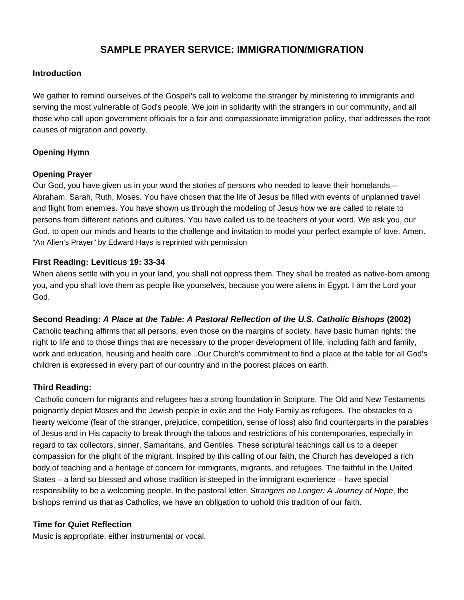# **SAMPLE PRAYER SERVICE: IMMIGRATION/MIGRATION**

# **Introduction**

We gather to remind ourselves of the Gospel's call to welcome the stranger by ministering to immigrants and serving the most vulnerable of God's people. We join in solidarity with the strangers in our community, and all those who call upon government officials for a fair and compassionate immigration policy, that addresses the root causes of migration and poverty.

### **Opening Hymn**

### **Opening Prayer**

Our God, you have given us in your word the stories of persons who needed to leave their homelands— Abraham, Sarah, Ruth, Moses. You have chosen that the life of Jesus be filled with events of unplanned travel and flight from enemies. You have shown us through the modeling of Jesus how we are called to relate to persons from different nations and cultures. You have called us to be teachers of your word. We ask you, our God, to open our minds and hearts to the challenge and invitation to model your perfect example of love. Amen. "An Alien's Prayer" by Edward Hays is reprinted with permission

# **First Reading: Leviticus 19: 33-34**

When aliens settle with you in your land, you shall not oppress them. They shall be treated as native-born among you, and you shall love them as people like yourselves, because you were aliens in Egypt. I am the Lord your God.

# **Second Reading:** *A Place at the Table: A Pastoral Reflection of the U.S. Catholic Bishops* **(2002)**

Catholic teaching affirms that all persons, even those on the margins of society, have basic human rights: the right to life and to those things that are necessary to the proper development of life, including faith and family, work and education, housing and health care...Our Church's commitment to find a place at the table for all God's children is expressed in every part of our country and in the poorest places on earth.

# **Third Reading:**

 Catholic concern for migrants and refugees has a strong foundation in Scripture. The Old and New Testaments poignantly depict Moses and the Jewish people in exile and the Holy Family as refugees. The obstacles to a hearty welcome (fear of the stranger, prejudice, competition, sense of loss) also find counterparts in the parables of Jesus and in His capacity to break through the taboos and restrictions of his contemporaries, especially in regard to tax collectors, sinner, Samaritans, and Gentiles. These scriptural teachings call us to a deeper compassion for the plight of the migrant. Inspired by this calling of our faith, the Church has developed a rich body of teaching and a heritage of concern for immigrants, migrants, and refugees. The faithful in the United States – a land so blessed and whose tradition is steeped in the immigrant experience – have special responsibility to be a welcoming people. In the pastoral letter, *Strangers no Longer: A Journey of Hope*, the bishops remind us that as Catholics, we have an obligation to uphold this tradition of our faith.

### **Time for Quiet Reflection**

Music is appropriate, either instrumental or vocal.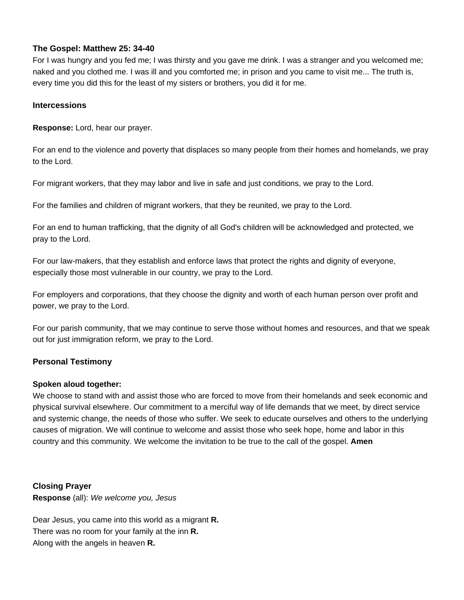# **The Gospel: Matthew 25: 34-40**

For I was hungry and you fed me; I was thirsty and you gave me drink. I was a stranger and you welcomed me; naked and you clothed me. I was ill and you comforted me; in prison and you came to visit me... The truth is, every time you did this for the least of my sisters or brothers, you did it for me.

### **Intercessions**

**Response:** Lord, hear our prayer.

For an end to the violence and poverty that displaces so many people from their homes and homelands, we pray to the Lord.

For migrant workers, that they may labor and live in safe and just conditions, we pray to the Lord.

For the families and children of migrant workers, that they be reunited, we pray to the Lord.

For an end to human trafficking, that the dignity of all God's children will be acknowledged and protected, we pray to the Lord.

For our law-makers, that they establish and enforce laws that protect the rights and dignity of everyone, especially those most vulnerable in our country, we pray to the Lord.

For employers and corporations, that they choose the dignity and worth of each human person over profit and power, we pray to the Lord.

For our parish community, that we may continue to serve those without homes and resources, and that we speak out for just immigration reform, we pray to the Lord.

# **Personal Testimony**

# **Spoken aloud together:**

We choose to stand with and assist those who are forced to move from their homelands and seek economic and physical survival elsewhere. Our commitment to a merciful way of life demands that we meet, by direct service and systemic change, the needs of those who suffer. We seek to educate ourselves and others to the underlying causes of migration. We will continue to welcome and assist those who seek hope, home and labor in this country and this community. We welcome the invitation to be true to the call of the gospel. **Amen** 

# **Closing Prayer**

**Response** (all): *We welcome you, Jesus* 

Dear Jesus, you came into this world as a migrant **R.**  There was no room for your family at the inn **R.**  Along with the angels in heaven **R.**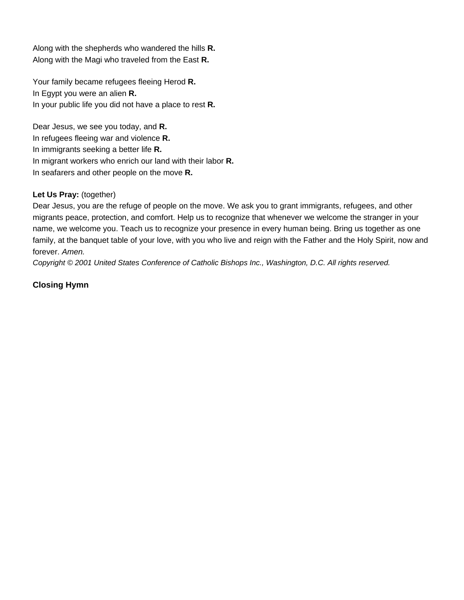Along with the shepherds who wandered the hills **R.** Along with the Magi who traveled from the East **R.** 

Your family became refugees fleeing Herod **R.**  In Egypt you were an alien **R.**  In your public life you did not have a place to rest **R.** 

Dear Jesus, we see you today, and **R.** In refugees fleeing war and violence **R.**  In immigrants seeking a better life **R.**  In migrant workers who enrich our land with their labor **R.**  In seafarers and other people on the move **R.**

### **Let Us Pray:** (together)

Dear Jesus, you are the refuge of people on the move. We ask you to grant immigrants, refugees, and other migrants peace, protection, and comfort. Help us to recognize that whenever we welcome the stranger in your name, we welcome you. Teach us to recognize your presence in every human being. Bring us together as one family, at the banquet table of your love, with you who live and reign with the Father and the Holy Spirit, now and forever. *Amen.*

*Copyright © 2001 United States Conference of Catholic Bishops Inc., Washington, D.C. All rights reserved.* 

# **Closing Hymn**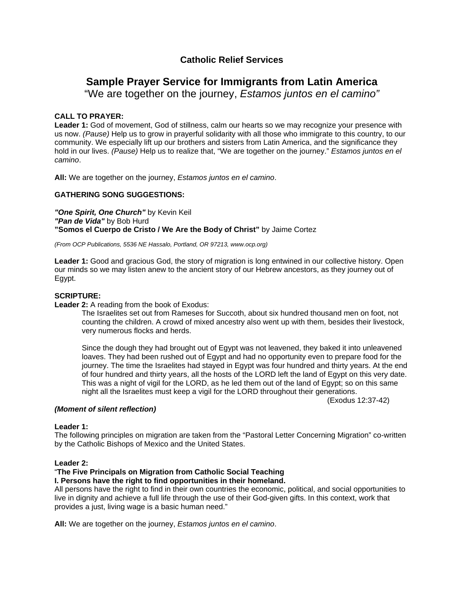# **Catholic Relief Services**

# **Sample Prayer Service for Immigrants from Latin America**

"We are together on the journey, *Estamos juntos en el camino"* 

### **CALL TO PRAYER:**

Leader 1: God of movement, God of stillness, calm our hearts so we may recognize your presence with us now. *(Pause)* Help us to grow in prayerful solidarity with all those who immigrate to this country, to our community. We especially lift up our brothers and sisters from Latin America, and the significance they hold in our lives. *(Pause)* Help us to realize that, "We are together on the journey." *Estamos juntos en el camino*.

**All:** We are together on the journey, *Estamos juntos en el camino*.

### **GATHERING SONG SUGGESTIONS:**

*"One Spirit, One Church"* by Kevin Keil *"Pan de Vida"* by Bob Hurd **"Somos el Cuerpo de Cristo / We Are the Body of Christ"** by Jaime Cortez

*(From OCP Publications, 5536 NE Hassalo, Portland, OR 97213, www.ocp.org)* 

**Leader 1:** Good and gracious God, the story of migration is long entwined in our collective history. Open our minds so we may listen anew to the ancient story of our Hebrew ancestors, as they journey out of Egypt.

### **SCRIPTURE:**

**Leader 2:** A reading from the book of Exodus:

The Israelites set out from Rameses for Succoth, about six hundred thousand men on foot, not counting the children. A crowd of mixed ancestry also went up with them, besides their livestock, very numerous flocks and herds.

Since the dough they had brought out of Egypt was not leavened, they baked it into unleavened loaves. They had been rushed out of Egypt and had no opportunity even to prepare food for the journey. The time the Israelites had stayed in Egypt was four hundred and thirty years. At the end of four hundred and thirty years, all the hosts of the LORD left the land of Egypt on this very date. This was a night of vigil for the LORD, as he led them out of the land of Egypt; so on this same night all the Israelites must keep a vigil for the LORD throughout their generations.

(Exodus 12:37-42)

#### *(Moment of silent reflection)*

#### **Leader 1:**

The following principles on migration are taken from the "Pastoral Letter Concerning Migration" co-written by the Catholic Bishops of Mexico and the United States.

#### **Leader 2:**

#### "**The Five Principals on Migration from Catholic Social Teaching I. Persons have the right to find opportunities in their homeland.**

All persons have the right to find in their own countries the economic, political, and social opportunities to live in dignity and achieve a full life through the use of their God-given gifts. In this context, work that provides a just, living wage is a basic human need."

**All:** We are together on the journey, *Estamos juntos en el camino*.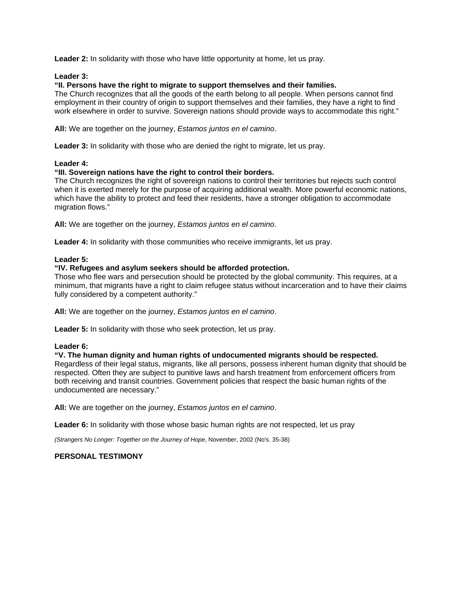Leader 2: In solidarity with those who have little opportunity at home, let us pray.

#### **Leader 3:**

### **"II. Persons have the right to migrate to support themselves and their families.**

The Church recognizes that all the goods of the earth belong to all people. When persons cannot find employment in their country of origin to support themselves and their families, they have a right to find work elsewhere in order to survive. Sovereign nations should provide ways to accommodate this right."

**All:** We are together on the journey, *Estamos juntos en el camino*.

**Leader 3:** In solidarity with those who are denied the right to migrate, let us pray.

#### **Leader 4:**

#### **"III. Sovereign nations have the right to control their borders.**

The Church recognizes the right of sovereign nations to control their territories but rejects such control when it is exerted merely for the purpose of acquiring additional wealth. More powerful economic nations, which have the ability to protect and feed their residents, have a stronger obligation to accommodate migration flows."

**All:** We are together on the journey, *Estamos juntos en el camino*.

**Leader 4:** In solidarity with those communities who receive immigrants, let us pray.

#### **Leader 5:**

### **"IV. Refugees and asylum seekers should be afforded protection.**

Those who flee wars and persecution should be protected by the global community. This requires, at a minimum, that migrants have a right to claim refugee status without incarceration and to have their claims fully considered by a competent authority."

**All:** We are together on the journey, *Estamos juntos en el camino*.

**Leader 5:** In solidarity with those who seek protection, let us pray.

#### **Leader 6:**

#### **"V. The human dignity and human rights of undocumented migrants should be respected.**  Regardless of their legal status, migrants, like all persons, possess inherent human dignity that should be respected. Often they are subject to punitive laws and harsh treatment from enforcement officers from both receiving and transit countries. Government policies that respect the basic human rights of the undocumented are necessary."

**All:** We are together on the journey, *Estamos juntos en el camino*.

Leader 6: In solidarity with those whose basic human rights are not respected, let us pray

*(Strangers No Longer: Together on the Journey of Hope*, November, 2002 (No's. 35-38)

#### **PERSONAL TESTIMONY**